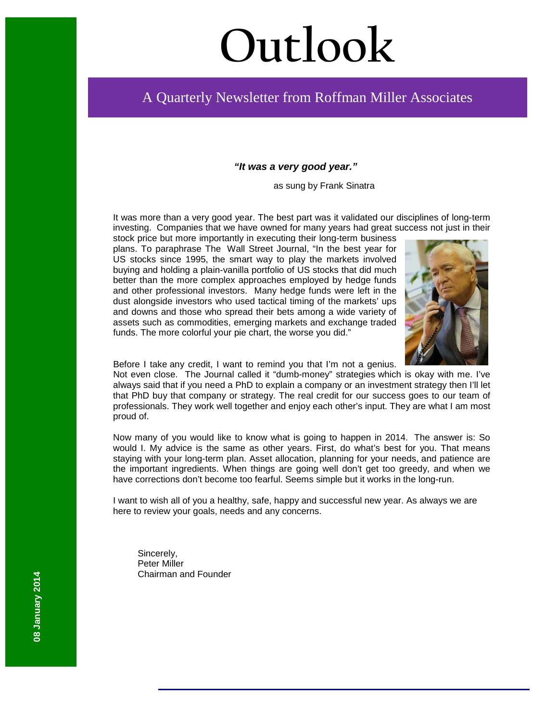# **Outlook**

# A Quarterly Newsletter from Roffman Miller Associates

#### *"It was a very good year."*

as sung by Frank Sinatra

It was more than a very good year. The best part was it validated our disciplines of long-term investing. Companies that we have owned for many years had great success not just in their

stock price but more importantly in executing their long-term business plans. To paraphrase The Wall Street Journal, "In the best year for US stocks since 1995, the smart way to play the markets involved buying and holding a plain-vanilla portfolio of US stocks that did much better than the more complex approaches employed by hedge funds and other professional investors. Many hedge funds were left in the dust alongside investors who used tactical timing of the markets' ups and downs and those who spread their bets among a wide variety of assets such as commodities, emerging markets and exchange traded funds. The more colorful your pie chart, the worse you did."



Before I take any credit, I want to remind you that I'm not a genius.

Not even close. The Journal called it "dumb-money" strategies which is okay with me. I've always said that if you need a PhD to explain a company or an investment strategy then I'll let that PhD buy that company or strategy. The real credit for our success goes to our team of professionals. They work well together and enjoy each other's input. They are what I am most proud of.

Now many of you would like to know what is going to happen in 2014. The answer is: So would I. My advice is the same as other years. First, do what's best for you. That means staying with your long-term plan. Asset allocation, planning for your needs, and patience are the important ingredients. When things are going well don't get too greedy, and when we have corrections don't become too fearful. Seems simple but it works in the long-run.

I want to wish all of you a healthy, safe, happy and successful new year. As always we are here to review your goals, needs and any concerns.

Sincerely, Peter Miller Chairman and Founder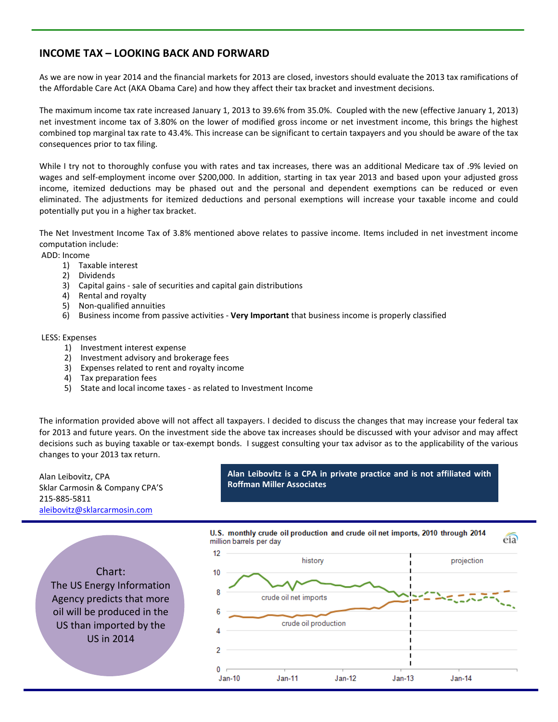## **INCOME TAX – LOOKING BACK AND FORWARD**

As we are now in year 2014 and the financial markets for 2013 are closed, investors should evaluate the 2013 tax ramifications of the Affordable Care Act (AKA Obama Care) and how they affect their tax bracket and investment decisions.

The maximum income tax rate increased January 1, 2013 to 39.6% from 35.0%. Coupled with the new (effective January 1, 2013) net investment income tax of 3.80% on the lower of modified gross income or net investment income, this brings the highest combined top marginal tax rate to 43.4%. This increase can be significant to certain taxpayers and you should be aware of the tax consequences prior to tax filing.

While I try not to thoroughly confuse you with rates and tax increases, there was an additional Medicare tax of .9% levied on wages and self-employment income over \$200,000. In addition, starting in tax year 2013 and based upon your adjusted gross income, itemized deductions may be phased out and the personal and dependent exemptions can be reduced or even eliminated. The adjustments for itemized deductions and personal exemptions will increase your taxable income and could potentially put you in a higher tax bracket.

The Net Investment Income Tax of 3.8% mentioned above relates to passive income. Items included in net investment income computation include:

ADD: Income

- 1) Taxable interest
- 2) Dividends
- 3) Capital gains sale of securities and capital gain distributions
- 4) Rental and royalty
- 5) Non-qualified annuities
- 6) Business income from passive activities **Very Important** that business income is properly classified

#### LESS: Expenses

- 1) Investment interest expense
- 2) Investment advisory and brokerage fees
- 3) Expenses related to rent and royalty income
- 4) Tax preparation fees
- 5) State and local income taxes as related to Investment Income

The information provided above will not affect all taxpayers. I decided to discuss the changes that may increase your federal tax for 2013 and future years. On the investment side the above tax increases should be discussed with your advisor and may affect decisions such as buying taxable or tax-exempt bonds. I suggest consulting your tax advisor as to the applicability of the various changes to your 2013 tax return.

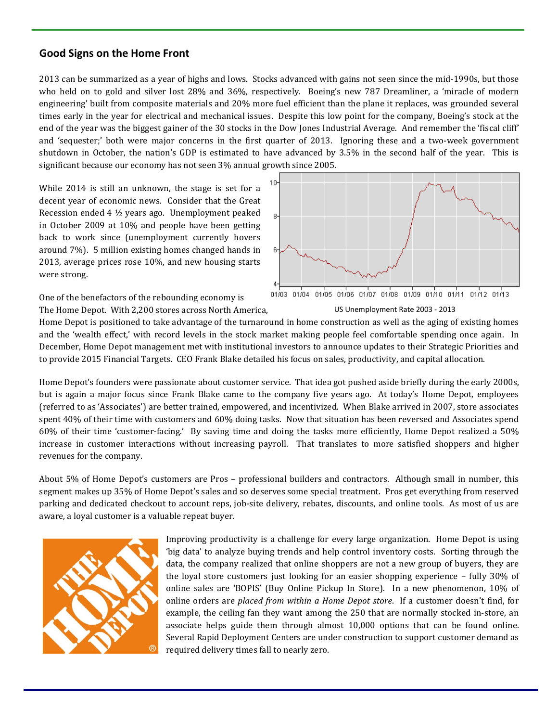#### **Good Signs on the Home Front**

2013 can be summarized as a year of highs and lows. Stocks advanced with gains not seen since the mid-1990s, but those who held on to gold and silver lost 28% and 36%, respectively. Boeing's new 787 Dreamliner, a 'miracle of modern engineering' built from composite materials and 20% more fuel efficient than the plane it replaces, was grounded several times early in the year for electrical and mechanical issues. Despite this low point for the company, Boeing's stock at the end of the year was the biggest gainer of the 30 stocks in the Dow Jones Industrial Average. And remember the 'fiscal cliff' and 'sequester;' both were major concerns in the first quarter of 2013. Ignoring these and a two-week government shutdown in October, the nation's GDP is estimated to have advanced by 3.5% in the second half of the year. This is significant because our economy has not seen 3% annual growth since 2005.

While 2014 is still an unknown, the stage is set for a decent year of economic news. Consider that the Great Recession ended 4 ½ years ago. Unemployment peaked in October 2009 at 10% and people have been getting back to work since (unemployment currently hovers around 7%). 5 million existing homes changed hands in 2013, average prices rose 10%, and new housing starts were strong.



One of the benefactors of the rebounding economy is The Home Depot. With 2,200 stores across North America,



Home Depot is positioned to take advantage of the turnaround in home construction as well as the aging of existing homes and the 'wealth effect,' with record levels in the stock market making people feel comfortable spending once again. In December, Home Depot management met with institutional investors to announce updates to their Strategic Priorities and to provide 2015 Financial Targets. CEO Frank Blake detailed his focus on sales, productivity, and capital allocation.

Home Depot's founders were passionate about customer service. That idea got pushed aside briefly during the early 2000s, but is again a major focus since Frank Blake came to the company five years ago. At today's Home Depot, employees (referred to as 'Associates') are better trained, empowered, and incentivized. When Blake arrived in 2007, store associates spent 40% of their time with customers and 60% doing tasks. Now that situation has been reversed and Associates spend 60% of their time 'customer-facing.' By saving time and doing the tasks more efficiently, Home Depot realized a 50% increase in customer interactions without increasing payroll. That translates to more satisfied shoppers and higher revenues for the company.

About 5% of Home Depot's customers are Pros – professional builders and contractors. Although small in number, this segment makes up 35% of Home Depot's sales and so deserves some special treatment. Pros get everything from reserved parking and dedicated checkout to account reps, job-site delivery, rebates, discounts, and online tools. As most of us are aware, a loyal customer is a valuable repeat buyer.



Improving productivity is a challenge for every large organization. Home Depot is using 'big data' to analyze buying trends and help control inventory costs. Sorting through the data, the company realized that online shoppers are not a new group of buyers, they are the loyal store customers just looking for an easier shopping experience – fully 30% of online sales are 'BOPIS' (Buy Online Pickup In Store). In a new phenomenon, 10% of online orders are *placed from within a Home Depot store*. If a customer doesn't find, for example, the ceiling fan they want among the 250 that are normally stocked in-store, an associate helps guide them through almost 10,000 options that can be found online. Several Rapid Deployment Centers are under construction to support customer demand as required delivery times fall to nearly zero.